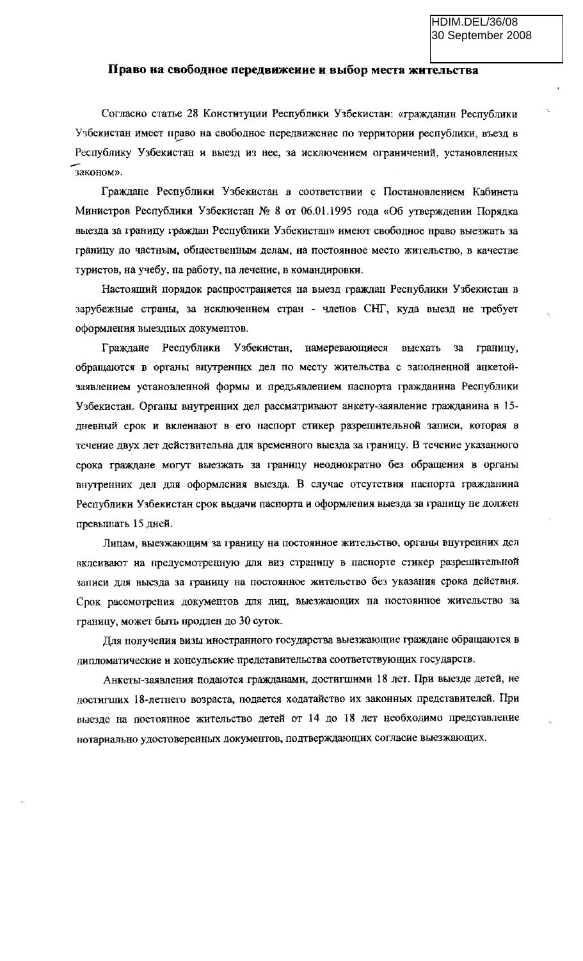## Право на свободное передвижение и выбор места жительства

Согласно статье 28 Конституции Республики Узбекистан: «гражданин Республики Узбекистан имеет право на свободное передвижение по территории республики, въезд в Республику Узбекистан и выезд из нее, за исключением ограничений, установленных законом».

Граждане Республики Узбекистан в соответствии с Постановлением Кабинета Министров Республики Узбекистан № 8 от 06.01.1995 года «Об утверждении Порядка выезда за границу граждан Республики Узбекистан» имеют свободное право выезжать за границу по частным, общественным делам, на постоянное место жительство, в качестве туристов, на учебу, на работу, на лечение, в командировки.

Настоящий порядок распространяется на выезд граждан Республики Узбекистан в зарубежные страны, за исключением стран - членов СНГ, куда выезд не требует оформления выездных документов.

Граждане Республики Узбекистан, намеревающиеся  $3a$ границу, выехать обращаются в органы внутренних дел по месту жительства с заполненной анкетойзаявлением установленной формы и предъявлением паснорта гражданина Республики Узбекистан. Органы внутренних дел рассматривают анкету-заявление гражданина в 15дневный срок и вклеивают в его паспорт стикер разрешительной записи, которая в течение двух лет действительна для временного выезда за границу. В течение указанного срока граждане могут выезжать за границу неоднократно без обращения в органы внутренних дел для оформления выезда. В случае отсутствия паспорта гражданина Республики Узбекистан срок выдачи паспорта и оформления выезда за границу не должен превышать 15 дней.

Лицам, выезжающим за границу на постоянное жительство, органы внутренних дел вклеивают на предусмотренную для виз страницу в паснорте стикер разрешительной записи для выезда за границу на постоянное жительство без указания срока действия. Срок рассмотрения документов для лиц, выезжающих на постоянное жительство за границу, может быть продлен до 30 суток.

Для получения визы иностранного государства выезжающие граждане обращаются в дипломатические и консульские представительства соответствующих государств.

Анкеты-заявления подаются гражданами, достигшими 18 лет. При выезде детей, не достигших 18-летнего возраста, подается ходатайство их законных представителей. При выезде на постоянное жительство детей от 14 до 18 лет необходимо представление нотарнально удостоверенных документов, подтверждающих согласие выезжающих.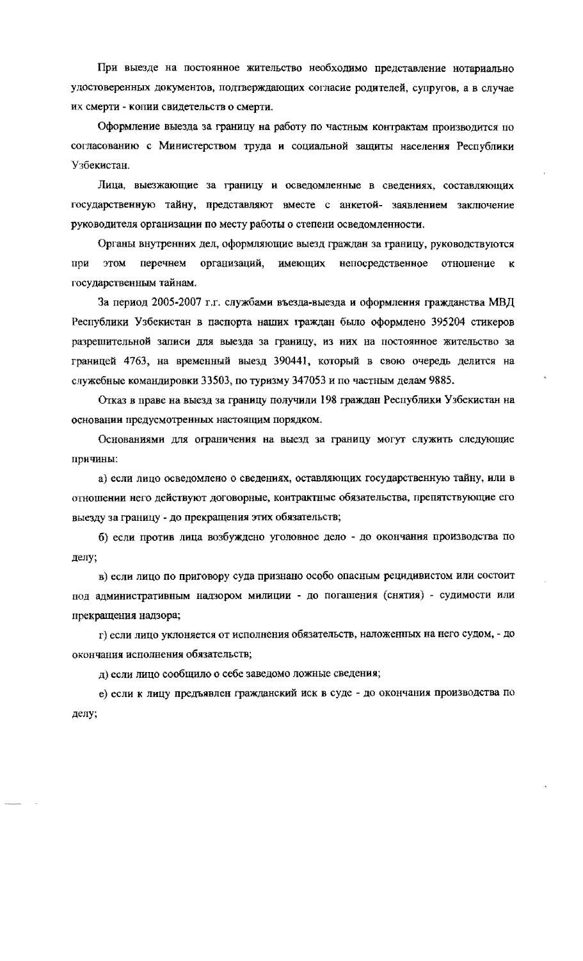При выезде на постоянное жительство необходимо представление нотариально удостоверенных документов, подтверждающих согласие родителей, супругов, а в случае их смерти - копии свидетельств о смерти.

Оформление выезда за границу на работу по частным контрактам производится по согласованию с Министерством труда и социальной защиты населения Республики Узбекистан.

Лица, выезжающие за границу и осведомленные в сведениях, составляющих государственную тайну, представляют вместе с анкетой- заявлением заключение руководителя организации по месту работы о степени осведомленности.

Органы внутренних дел, оформляющие выезд граждан за границу, руководствуются при этом перечнем организаций, имеющих непосредственное отношение к государственным тайнам.

За период 2005-2007 г.г. службами въезда-выезда и оформления гражданства МВД Республики Узбекистан в паспорта наших граждан было оформлено 395204 стикеров разрешительной записи для выезда за границу, из них на постоянное жительство за границей 4763, на временный выезд 390441, который в свою очередь делится на служебные командировки 33503, по туризму 347053 и по частным делам 9885.

Отказ в праве на выезд за границу получили 198 граждан Республики Узбекистан на основании предусмотренных настоящим порядком.

Основаниями для ограничения на выезд за границу могут служить следующие причины:

а) если лицо осведомлено о сведениях, оставляющих государственную тайну, или в отношении него действуют договорные, контрактные обязательства, препятствующие его выезду за границу - до прекращения этих обязательств;

б) если против лица возбуждено уголовное дело - до окончания производства по делу;

в) если лицо по приговору суда признано особо опасным рецидивистом или состоит под административным надзором милиции - до погашения (снятия) - судимости или прекращения надзора;

г) если лицо уклоняется от исполнения обязательств, наложенных на него судом, - до окончания исполнения обязательств;

д) если лицо сообщило о себе заведомо ложные сведения;

е) если к лицу предъявлен гражданский иск в суде - до окончания производства по делу;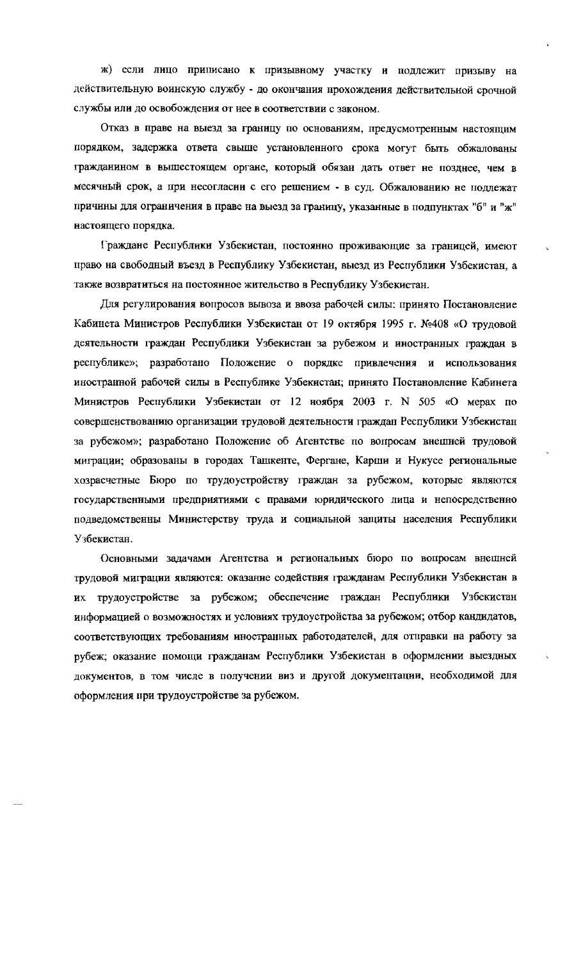ж) если лицо принисано к призывному участку и подлежит призыву на действительную воинскую службу - до окончания прохождения действительной срочной службы или до освобождения от нее в соответствии с законом.

Отказ в праве на выезд за границу по основаниям, предусмотренным настоящим порядком, задержка ответа свыше установленного срока могут быть обжалованы гражданином в вышестоящем органе, который обязан дать ответ не позднее, чем в месячный срок, а при несогласии с его решением - в суд. Обжалованию не подлежат причины для ограничения в праве на выезд за границу, указанные в подпунктах "б" и "ж" настоящего порядка.

Граждане Республики Узбекистан, постоянно проживающие за границей, имеют право на свободный въезд в Республику Узбекистан, выезд из Республики Узбекистан, а также возвратиться на постоянное жительство в Республику Узбекистан.

Для регулирования вопросов вывоза и ввоза рабочей силы: принято Постановление Кабинета Министров Республики Узбекистан от 19 октября 1995 г. №408 «О трудовой деятельности граждан Республики Узбекистан за рубежом и иностранных граждан в республике»; разработано Положение о порядке привлечения и использования иностранной рабочей силы в Республике Узбекистан; принято Постановление Кабинета Министров Республики Узбекистан от 12 ноября 2003 г. N 505 «О мерах по совершенствованию организации трудовой деятельности граждан Республики Узбекистан за рубежом»; разработано Положение об Агентстве по вопросам внешней трудовой миграции; образованы в городах Ташкенте, Фергане, Карши и Нукусе региональные хозрасчетные Бюро по трудоустройству граждан за рубежом, которые являются государственными предприятиями с правами юридического лица и непосредственно подведомственны Министерству труда и социальной защиты населения Республики Узбекистан.

Основными задачами Агентства и региональных бюро по вопросам внешней трудовой миграции являются: оказание содействия гражданам Республики Узбекистан в их трудоустройстве за рубежом; обеспечение граждан Республики Узбекистан информацией о возможностях и условиях трудоустройства за рубежом; отбор кандидатов, соответствующих требованиям иностранных работодателей, для отправки на работу за рубеж; оказание помощи гражданам Республики Узбекистан в оформлении выездных документов, в том числе в получении виз и другой документации, необходимой для оформления при трудоустройстве за рубежом.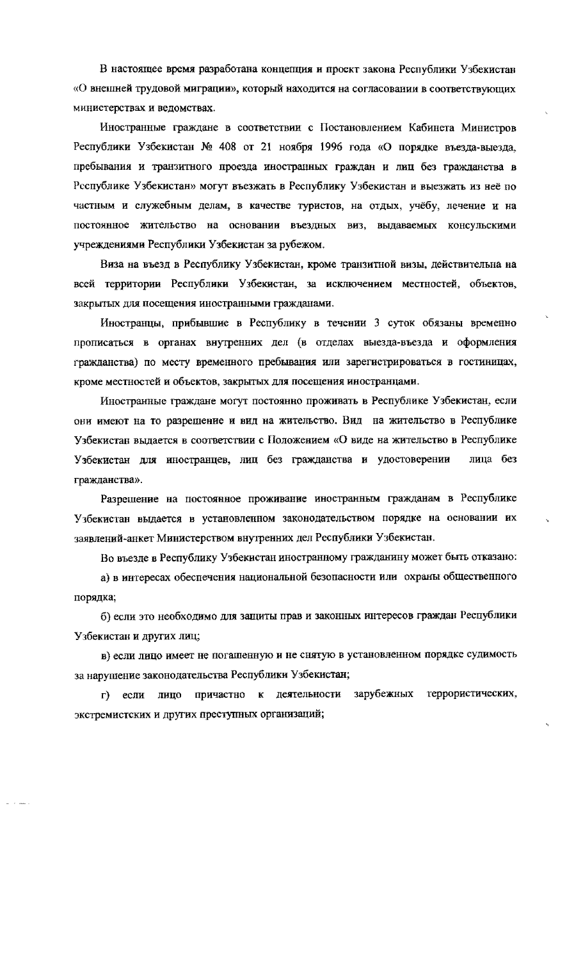В настоящее время разработана концепция и проект закона Республики Узбекистан «О внешней трудовой миграции», который находится на согласовании в соответствующих министерствах и ведомствах.

Иностранные граждане в соответствии с Постановлением Кабинета Министров Республики Узбекистан № 408 от 21 ноября 1996 года «О порядке въезда-выезда, пребывания и транзитного проезда иностранных граждан и лиц без гражданства в Республике Узбекистан» могут въезжать в Республику Узбекистан и выезжать из неё по частным и служебным делам, в качестве туристов, на отдых, учёбу, лечение и на постоянное жительство на основании въездных виз, выдаваемых консульскими учреждениями Республики Узбекистан за рубежом.

Виза на въезд в Республику Узбекистан, кроме транзитной визы, действительна на всей территории Республики Узбекистан, за исключением местностей, объектов, закрытых для посещения иностранными гражданами.

Иностранцы, прибывшие в Республику в течении 3 суток обязаны временно прописаться в органах внутренних дел (в отделах выезда-въезда и оформления гражданства) по месту временного пребывания или зарегистрироваться в гостиницах, кроме местностей и объектов, закрытых для посещения иностранцами.

Иностранные граждане могут постоянно проживать в Республике Узбекистан, если они имеют на то разрешение и вид на жительство. Вид на жительство в Республике Узбекистан выдается в соответствии с Положением «О виде на жительство в Республике Узбекистан для иностранцев, лиц без гражданства и удостоверении лица без гражданства».

Разрешение на постоянное проживание иностранным гражданам в Республике Узбекистан выдается в установленном законодательством порядке на основании их заявлений-анкет Министерством внутренних дел Республики Узбекистан.

Во въезде в Республику Узбекистан иностранному гражданину может быть отказано:

а) в интересах обеспечения национальной безопасности или охраны общественного порядка;

б) если это необходимо для защиты прав и законных интересов граждан Республики Узбекистан и других лиц;

в) если лицо имеет не погашенную и не снятую в установленном порядке судимость за нарушение законодательства Республики Узбекистан;

причастно к деятельности зарубежных террористических, г) если лицо экстремистских и других преступных организаций;